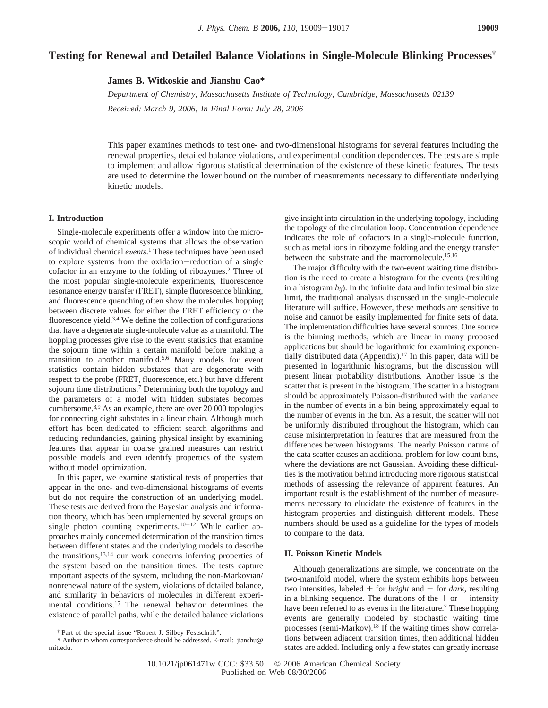# **Testing for Renewal and Detailed Balance Violations in Single-Molecule Blinking Processes†**

**James B. Witkoskie and Jianshu Cao\***

*Department of Chemistry, Massachusetts Institute of Technology, Cambridge, Massachusetts 02139 Recei*V*ed: March 9, 2006; In Final Form: July 28, 2006*

This paper examines methods to test one- and two-dimensional histograms for several features including the renewal properties, detailed balance violations, and experimental condition dependences. The tests are simple to implement and allow rigorous statistical determination of the existence of these kinetic features. The tests are used to determine the lower bound on the number of measurements necessary to differentiate underlying kinetic models.

### **I. Introduction**

Single-molecule experiments offer a window into the microscopic world of chemical systems that allows the observation of individual chemical *events*.<sup>1</sup> These techniques have been used<br>to explore systems from the oxidation-reduction of a single to explore systems from the oxidation-reduction of a single cofactor in an enzyme to the folding of ribozymes.2 Three of the most popular single-molecule experiments, fluorescence resonance energy transfer (FRET), simple fluorescence blinking, and fluorescence quenching often show the molecules hopping between discrete values for either the FRET efficiency or the fluorescence yield.<sup>3,4</sup> We define the collection of configurations that have a degenerate single-molecule value as a manifold. The hopping processes give rise to the event statistics that examine the sojourn time within a certain manifold before making a transition to another manifold.5,6 Many models for event statistics contain hidden substates that are degenerate with respect to the probe (FRET, fluorescence, etc.) but have different sojourn time distributions.<sup>7</sup> Determining both the topology and the parameters of a model with hidden substates becomes cumbersome.8,9 As an example, there are over 20 000 topologies for connecting eight substates in a linear chain. Although much effort has been dedicated to efficient search algorithms and reducing redundancies, gaining physical insight by examining features that appear in coarse grained measures can restrict possible models and even identify properties of the system without model optimization.

In this paper, we examine statistical tests of properties that appear in the one- and two-dimensional histograms of events but do not require the construction of an underlying model. These tests are derived from the Bayesian analysis and information theory, which has been implemented by several groups on single photon counting experiments.<sup>10-12</sup> While earlier approaches mainly concerned determination of the transition times between different states and the underlying models to describe the transitions,13,14 our work concerns inferring properties of the system based on the transition times. The tests capture important aspects of the system, including the non-Markovian/ nonrenewal nature of the system, violations of detailed balance, and similarity in behaviors of molecules in different experimental conditions.15 The renewal behavior determines the existence of parallel paths, while the detailed balance violations

give insight into circulation in the underlying topology, including the topology of the circulation loop. Concentration dependence indicates the role of cofactors in a single-molecule function, such as metal ions in ribozyme folding and the energy transfer between the substrate and the macromolecule.<sup>15,16</sup>

The major difficulty with the two-event waiting time distribution is the need to create a histogram for the events (resulting in a histogram  $h_{ii}$ ). In the infinite data and infinitesimal bin size limit, the traditional analysis discussed in the single-molecule literature will suffice. However, these methods are sensitive to noise and cannot be easily implemented for finite sets of data. The implementation difficulties have several sources. One source is the binning methods, which are linear in many proposed applications but should be logarithmic for examining exponentially distributed data (Appendix).<sup>17</sup> In this paper, data will be presented in logarithmic histograms, but the discussion will present linear probability distributions. Another issue is the scatter that is present in the histogram. The scatter in a histogram should be approximately Poisson-distributed with the variance in the number of events in a bin being approximately equal to the number of events in the bin. As a result, the scatter will not be uniformly distributed throughout the histogram, which can cause misinterpretation in features that are measured from the differences between histograms. The nearly Poisson nature of the data scatter causes an additional problem for low-count bins, where the deviations are not Gaussian. Avoiding these difficulties is the motivation behind introducing more rigorous statistical methods of assessing the relevance of apparent features. An important result is the establishment of the number of measurements necessary to elucidate the existence of features in the histogram properties and distinguish different models. These numbers should be used as a guideline for the types of models to compare to the data.

#### **II. Poisson Kinetic Models**

Although generalizations are simple, we concentrate on the two-manifold model, where the system exhibits hops between two intensities, labeled  $+$  for *bright* and  $-$  for *dark*, resulting in a blinking sequence. The durations of the  $+$  or  $-$  intensity have been referred to as events in the literature.<sup>7</sup> These hopping events are generally modeled by stochastic waiting time processes (semi-Markov).18 If the waiting times show correlations between adjacent transition times, then additional hidden states are added. Including only a few states can greatly increase

<sup>†</sup> Part of the special issue "Robert J. Silbey Festschrift".

<sup>\*</sup> Author to whom correspondence should be addressed. E-mail: jianshu@ mit.edu.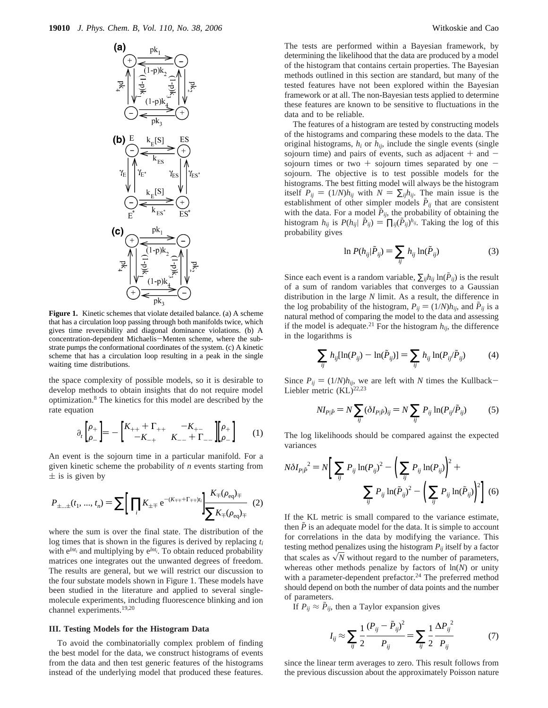

**Figure 1.** Kinetic schemes that violate detailed balance. (a) A scheme that has a circulation loop passing through both manifolds twice, which gives time reversibility and diagonal dominance violations. (b) A concentration-dependent Michaelis-Menten scheme, where the substrate pumps the conformational coordinates of the system. (c) A kinetic scheme that has a circulation loop resulting in a peak in the single waiting time distributions.

the space complexity of possible models, so it is desirable to develop methods to obtain insights that do not require model optimization.8 The kinetics for this model are described by the rate equation

$$
\partial_t \begin{bmatrix} \rho_+ \\ \rho_- \end{bmatrix} = - \begin{bmatrix} K_{++} + \Gamma_{++} & -K_{+-} \\ -K_{-+} & K_{--} + \Gamma_{--} \end{bmatrix} \begin{bmatrix} \rho_+ \\ \rho_- \end{bmatrix} \tag{1}
$$

An event is the sojourn time in a particular manifold. For a given kinetic scheme the probability of *n* events starting from  $\pm$  is is given by

$$
P_{\pm\ldots\pm}(t_1,\ldots,t_n) = \sum \Big[ \prod_i K_{\pm\mp} e^{-(K_{\mp\mp} + \Gamma_{\mp\mp})t_i} \Big] \frac{K_{\mp}(\rho_{\text{eq}})_{\mp}}{\sum K_{\mp}(\rho_{\text{eq}})_{\mp}} \quad (2)
$$

where the sum is over the final state. The distribution of the log times that is shown in the figures is derived by replacing *ti* with  $e^{lnt_i}$  and multiplying by  $e^{lnt_i}$ . To obtain reduced probability matrices one integrates out the unwanted degrees of freedom. The results are general, but we will restrict our discussion to the four substate models shown in Figure 1. These models have been studied in the literature and applied to several singlemolecule experiments, including fluorescence blinking and ion channel experiments.19,20

#### **III. Testing Models for the Histogram Data**

To avoid the combinatorially complex problem of finding the best model for the data, we construct histograms of events from the data and then test generic features of the histograms instead of the underlying model that produced these features.

The tests are performed within a Bayesian framework, by determining the likelihood that the data are produced by a model of the histogram that contains certain properties. The Bayesian methods outlined in this section are standard, but many of the tested features have not been explored within the Bayesian framework or at all. The non-Bayesian tests applied to determine these features are known to be sensitive to fluctuations in the data and to be reliable.

The features of a histogram are tested by constructing models of the histograms and comparing these models to the data. The original histograms,  $h_i$  or  $h_{ij}$ , include the single events (single sojourn time) and pairs of events, such as adjacent  $+$  and  $$ sojourn times or two + sojourn times separated by one  $$ sojourn. The objective is to test possible models for the histograms. The best fitting model will always be the histogram itself  $P_{ij} = (1/N)h_{ij}$  with  $N = \sum_{ij} h_{ij}$ . The main issue is the establishment of other simpler models  $\tilde{P}_{ij}$  that are consistent with the data. For a model  $\tilde{P}_{ij}$ , the probability of obtaining the histogram *h<sub>ij</sub>* is  $P(h_{ij} | \tilde{P}_{ij}) = \prod_{ij} (\tilde{P}_{ij})^{h_{ij}}$ . Taking the log of this probability gives

$$
\ln P(h_{ij}|\tilde{P}_{ij}) = \sum_{ij} h_{ij} \ln(\tilde{P}_{ij})
$$
\n(3)

Since each event is a random variable,  $\sum_{i,j} h_{ij} \ln(P_{ij})$  is the result of a sum of random variables that converges to a Gaussian distribution in the large *N* limit. As a result, the difference in the log probability of the histogram,  $P_{ij} = (1/N)h_{ij}$ , and  $\tilde{P}_{ij}$  is a natural method of comparing the model to the data and assessing if the model is adequate.<sup>21</sup> For the histogram  $h_{ij}$ , the difference in the logarithms is

$$
\sum_{ij} h_{ij} [\ln(P_{ij}) - \ln(\tilde{P}_{ij})] = \sum_{ij} h_{ij} \ln(P_{ij}/\tilde{P}_{ij})
$$
 (4)

Since  $P_{ij} = (1/N)h_{ij}$ , we are left with *N* times the Kullback-Liebler metric  $(KL)^{22,23}$ 

$$
NI_{P|\tilde{P}} = N \sum_{ij} (\delta I_{P|\tilde{P}})_{ij} = N \sum_{ij} P_{ij} \ln(P_{ij}/\tilde{P}_{ij})
$$
 (5)

The log likelihoods should be compared against the expected variances

$$
N \delta I_{P|\tilde{P}}^2 = N \bigg[ \sum_{ij} P_{ij} \ln(P_{ij})^2 - \bigg( \sum_{ij} P_{ij} \ln(P_{ij}) \bigg)^2 + \sum_{ij} P_{ij} \ln(\tilde{P}_{ij})^2 - \bigg( \sum_{ij} P_{ij} \ln(\tilde{P}_{ij}) \bigg)^2 \bigg] (6)
$$

If the KL metric is small compared to the variance estimate, then  $\tilde{P}$  is an adequate model for the data. It is simple to account for correlations in the data by modifying the variance. This testing method penalizes using the histogram  $P_{ij}$  itself by a factor that scales as  $\sqrt{N}$  without regard to the number of parameters, whereas other methods penalize by factors of ln(*N*) or unity with a parameter-dependent prefactor.<sup>24</sup> The preferred method should depend on both the number of data points and the number of parameters.

If  $P_{ij} \approx \tilde{P}_{ij}$ , then a Taylor expansion gives

$$
I_{ij} \approx \sum_{ij} \frac{1}{2} \frac{(P_{ij} - \tilde{P}_{ij})^2}{P_{ij}} = \sum_{ij} \frac{1}{2} \frac{\Delta P_{ij}^2}{P_{ij}}
$$
(7)

since the linear term averages to zero. This result follows from the previous discussion about the approximately Poisson nature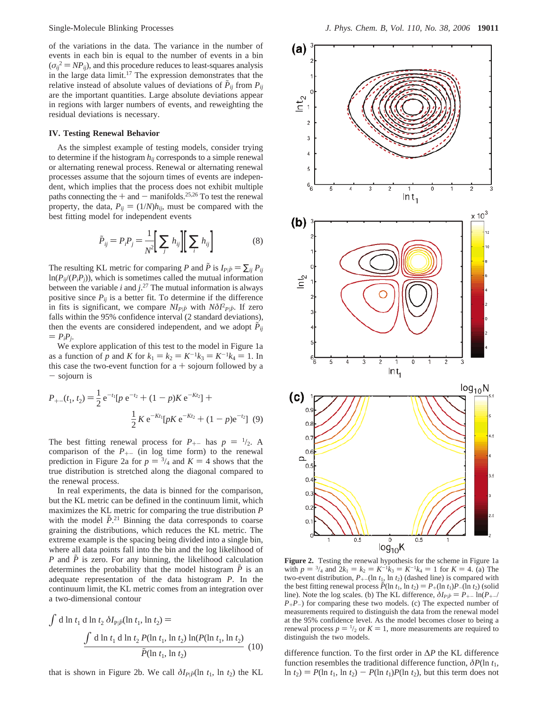of the variations in the data. The variance in the number of events in each bin is equal to the number of events in a bin  $(\sigma_{ij}^2 = NP_{ij})$ , and this procedure reduces to least-squares analysis in the large data limit.<sup>17</sup> The expression demonstrates that the relative instead of absolute values of deviations of  $\tilde{P}_{ij}$  from  $P_{ij}$ are the important quantities. Large absolute deviations appear in regions with larger numbers of events, and reweighting the residual deviations is necessary.

#### **IV. Testing Renewal Behavior**

As the simplest example of testing models, consider trying to determine if the histogram  $h_{ij}$  corresponds to a simple renewal or alternating renewal process. Renewal or alternating renewal processes assume that the sojourn times of events are independent, which implies that the process does not exhibit multiple paths connecting the  $+$  and  $-$  manifolds.<sup>25,26</sup> To test the renewal property, the data,  $P_{ij} = (1/N)h_{ij}$ , must be compared with the best fitting model for independent events

$$
\tilde{P}_{ij} = P_i P_j = \frac{1}{N^2} \left[ \sum_j h_{ij} \right] \left[ \sum_i h_{ij} \right]
$$
 (8)

The resulting KL metric for comparing *P* and *P* is  $I_{P|\tilde{P}} = \sum_{ij} P_{ij}$  $ln(P_{ij}(P_iP_j))$ , which is sometimes called the mutual information between the variable *i* and *j*. <sup>27</sup> The mutual information is always positive since  $P_{ij}$  is a better fit. To determine if the difference in fits is significant, we compare  $N I_{Pl} \bar{P}$  with  $N \delta I_{Pl}^2 P_{Pl} \bar{P}$ . If zero followithin the 05% confidence interval (2 stepdard deviations). falls within the 95% confidence interval (2 standard deviations), then the events are considered independent, and we adopt  $P_{ij}$  $= P_i P_i$ .

We explore application of this test to the model in Figure 1a as a function of *p* and *K* for  $k_1 = k_2 = K^{-1}k_3 = K^{-1}k_4 = 1$ . In this case the two-event function for  $a +$  sojourn followed by a - sojourn is

$$
P_{+-}(t_1, t_2) = \frac{1}{2} e^{-t_1} [p e^{-t_2} + (1 - p) K e^{-Kt_2}] +
$$
  

$$
\frac{1}{2} K e^{-Kt_1} [p K e^{-Kt_2} + (1 - p) e^{-t_2}]
$$
 (9)

The best fitting renewal process for  $P_{+-}$  has  $p = \frac{1}{2}$ . A comparison of the  $P_{+-}$  (in log time form) to the renewal prediction in Figure 2a for  $p = \frac{3}{4}$  and  $K = 4$  shows that the true distribution is stretched along the diagonal compared to the renewal process.

In real experiments, the data is binned for the comparison, but the KL metric can be defined in the continuum limit, which maximizes the KL metric for comparing the true distribution *P* with the model  $\tilde{P}^{21}$  Binning the data corresponds to coarse<br>graining the distributions, which reduces the KL metric. The graining the distributions, which reduces the KL metric. The extreme example is the spacing being divided into a single bin, where all data points fall into the bin and the log likelihood of *P* and  $\tilde{P}$  is zero. For any binning, the likelihood calculation determines the probability that the model histogram  $\tilde{P}$  is an adequate representation of the data histogram *P*. In the continuum limit, the KL metric comes from an integration over a two-dimensional contour

$$
\int d \ln t_1 d \ln t_2 \, \delta I_{\text{Pl}\tilde{P}}(\ln t_1, \ln t_2) =
$$
\n
$$
\frac{\int d \ln t_1 d \ln t_2 P(\ln t_1, \ln t_2) \ln(P(\ln t_1, \ln t_2))}{\tilde{P}(\ln t_1, \ln t_2)} \tag{10}
$$

that is shown in Figure 2b. We call  $\delta I_{\text{Pl}} \tilde{\rho}$ (ln  $t_1$ , ln  $t_2$ ) the KL



**Figure 2.** Testing the renewal hypothesis for the scheme in Figure 1a with  $p = \frac{3}{4}$  and  $2k_1 = k_2 = K^{-1}k_3 = K^{-1}k_4 = 1$  for  $K = 4$ . (a) The two-event distribution  $P_1$ . (In t<sub>h</sub> ln t<sub>b</sub>) (dashed line) is compared with two-event distribution,  $P_{+-}(\ln t_1, \ln t_2)$  (dashed line) is compared with the best fitting renewal process  $\hat{P}(\ln t_1, \ln t_2) = P_+(\ln t_1)P_-(\ln t_2)$  (solid line). Note the log scales. (b) The KL difference,  $\delta I_{\text{Pl}} \tilde{P} = P_{+-} \ln(P_{+-}/P_{--})$  $P_{+}P_{-}$ ) for comparing these two models. (c) The expected number of measurements required to distinguish the data from the renewal model at the 95% confidence level. As the model becomes closer to being a renewal process  $p = \frac{1}{2}$  or  $K = 1$ , more measurements are required to distinguish the two models distinguish the two models.

difference function. To the first order in ∆*P* the KL difference function resembles the traditional difference function,  $\delta P(\ln t_1)$ ,  $\ln t_2$ ) =  $P(\ln t_1, \ln t_2) - P(\ln t_1)P(\ln t_2)$ , but this term does not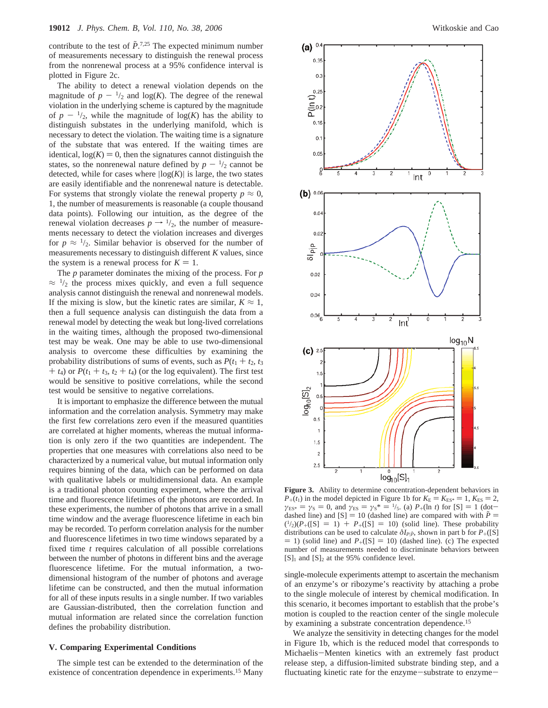contribute to the test of  $\tilde{P}^{7,25}$ . The expected minimum number<br>of measurements necessary to distinguish the renewal process of measurements necessary to distinguish the renewal process from the nonrenewal process at a 95% confidence interval is plotted in Figure 2c.

The ability to detect a renewal violation depends on the magnitude of  $p - \frac{1}{2}$  and  $log(K)$ . The degree of the renewal violation in the underlying scheme is captured by the magnitude of  $p - \frac{1}{2}$ , while the magnitude of  $log(K)$  has the ability to distinguish substates in the underlying manifold, which is necessary to detect the violation. The waiting time is a signature of the substate that was entered. If the waiting times are identical,  $log(K) = 0$ , then the signatures cannot distinguish the states, so the nonrenewal nature defined by  $p - \frac{1}{2}$  cannot be detected, while for cases where  $log(K)$  is large, the two states are easily identifiable and the nonrenewal nature is detectable. For systems that strongly violate the renewal property  $p \approx 0$ , 1, the number of measurements is reasonable (a couple thousand data points). Following our intuition, as the degree of the renewal violation decreases  $p \rightarrow 1/2$ , the number of measurements necessary to detect the violation increases and diverges for  $p \approx \frac{1}{2}$ . Similar behavior is observed for the number of measurements necessary to distinguish different *K* values, since the system is a renewal process for  $K = 1$ .

The *p* parameter dominates the mixing of the process. For *p*  $\approx$  1/2 the process mixes quickly, and even a full sequence analysis cannot distinguish the renewal and nonrenewal models. If the mixing is slow, but the kinetic rates are similar,  $K \approx 1$ , then a full sequence analysis can distinguish the data from a renewal model by detecting the weak but long-lived correlations in the waiting times, although the proposed two-dimensional test may be weak. One may be able to use two-dimensional analysis to overcome these difficulties by examining the probability distributions of sums of events, such as  $P(t_1 + t_2, t_3)$  $+ t_4$ ) or  $P(t_1 + t_3, t_2 + t_4)$  (or the log equivalent). The first test would be sensitive to positive correlations, while the second test would be sensitive to negative correlations.

It is important to emphasize the difference between the mutual information and the correlation analysis. Symmetry may make the first few correlations zero even if the measured quantities are correlated at higher moments, whereas the mutual information is only zero if the two quantities are independent. The properties that one measures with correlations also need to be characterized by a numerical value, but mutual information only requires binning of the data, which can be performed on data with qualitative labels or multidimensional data. An example is a traditional photon counting experiment, where the arrival time and fluorescence lifetimes of the photons are recorded. In these experiments, the number of photons that arrive in a small time window and the average fluorescence lifetime in each bin may be recorded. To perform correlation analysis for the number and fluorescence lifetimes in two time windows separated by a fixed time *t* requires calculation of all possible correlations between the number of photons in different bins and the average fluorescence lifetime. For the mutual information, a twodimensional histogram of the number of photons and average lifetime can be constructed, and then the mutual information for all of these inputs results in a single number. If two variables are Gaussian-distributed, then the correlation function and mutual information are related since the correlation function defines the probability distribution.

#### **V. Comparing Experimental Conditions**

The simple test can be extended to the determination of the existence of concentration dependence in experiments.<sup>15</sup> Many



**Figure 3.** Ability to determine concentration-dependent behaviors in  $P_{+}(t_1)$  in the model depicted in Figure 1b for  $K_{\rm E} = K_{\rm ES^*} = 1, K_{\rm ES} = 2,$  $\gamma_{ES^*} = \gamma_S = 0$ , and  $\gamma_{ES} = \gamma_S^* = \frac{1}{5}$ . (a) *P*<sub>+</sub>(ln *t*) for [S] = 1 (dot-<br>dashed line) and [S] = 10 (dashed line) are compared with with  $\tilde{P}$  = dashed line) and  $[S] = 10$  (dashed line) are compared with with  $\tilde{P} =$  $\binom{1}{2}(P_+(\{S\}) = 1) + P_+(\{S\}) = 10$  (solid line). These probability distributions can be used to calculate  $\delta I_{\text{min}}$  shown in part b for  $P_+(\{S\})$ distributions can be used to calculate  $\delta I_{P|\tilde{P}}$ , shown in part b for  $P_+([S])$  $=$  1) (solid line) and  $P_{+}([S] = 10)$  (dashed line). (c) The expected number of measurements needed to discriminate behaviors between  $[S]_1$  and  $[S]_2$  at the 95% confidence level.

single-molecule experiments attempt to ascertain the mechanism of an enzyme's or ribozyme's reactivity by attaching a probe to the single molecule of interest by chemical modification. In this scenario, it becomes important to establish that the probe's motion is coupled to the reaction center of the single molecule by examining a substrate concentration dependence.<sup>15</sup>

We analyze the sensitivity in detecting changes for the model in Figure 1b, which is the reduced model that corresponds to Michaelis-Menten kinetics with an extremely fast product release step, a diffusion-limited substrate binding step, and a fluctuating kinetic rate for the enzyme-substrate to enzyme-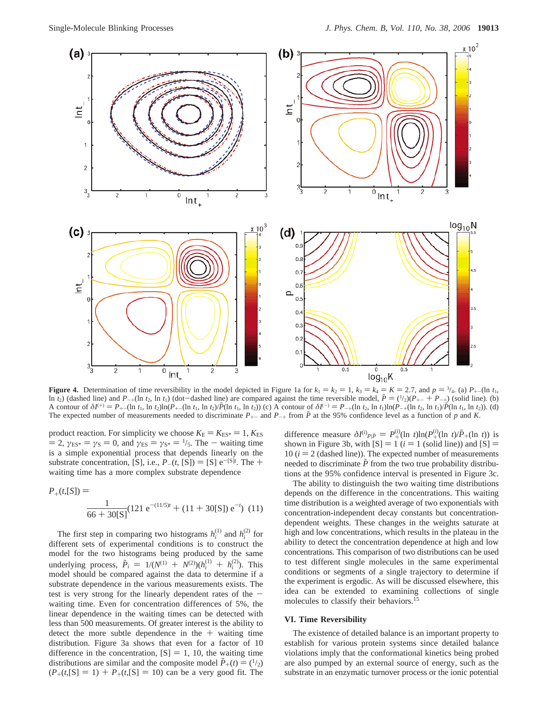

**Figure 4.** Determination of time reversibility in the model depicted in Figure 1a for  $k_1 = k_2 = 1$ ,  $k_3 = k_4 = K = 2.7$ , and  $p = \frac{3}{4}$ . (a)  $P_{+-}(\ln t_1, t_2)$  and  $P_{-+}(\ln t_2)$  and  $P_{-+}(\ln t_3)$  (of  $\ln t_2$ ) (of  $\ln t_3$ ) (o ln *t*<sub>2</sub>) (dashed line) and *P*<sub>+</sub>(ln *t*<sub>2</sub>, ln *t*<sub>1</sub>) (dot-dashed line) are compared against the time reversible model,  $\tilde{P} = {1/2}(P_{+-} + P_{-+})$  (solid line). (b)<br>A contour of  $\delta l^{(+)} = P_{+-}(\ln t_1 \ln t_2) \ln (P_{+-}(\ln t_2 \ln t_2)$ A contour of  $\delta I^{(+)} = P_{+-}(\ln t_1, \ln t_2) \ln(P_{+-}(\ln t_1, \ln t_2)/\tilde{P}(\ln t_1, \ln t_2))$  (c) A contour of  $\delta I^{(-)} = P_{-+}(\ln t_2, \ln t_1) \ln(P_{-+}(\ln t_2, \ln t_1)/\tilde{P}(\ln t_1, \ln t_2))$ . (d) The expected number of measurements needed to discriminate  $P_{+-}$  and  $P_{-+}$  from  $\tilde{P}$  at the 95% confidence level as a function of *p* and *K*.

product reaction. For simplicity we choose  $K_{\rm E} = K_{\rm ES^*} = 1, K_{\rm ES}$  $= 2$ ,  $\gamma_{ES^*} = \gamma_S = 0$ , and  $\gamma_{ES} = \gamma_{S^*} = \frac{1}{5}$ . The - waiting time is a simple exponential process that depends linearly on the substrate concentration, [S], i.e.,  $P_{-}(t, S_1) = [S] e^{-S_1 t}$ . The + waiting time has a more complex substrate dependence waiting time has a more complex substrate dependence

$$
P_{+}(t,[S]) = \frac{1}{66 + 30[S]} (121 e^{-(11/5)t} + (11 + 30[S]) e^{-t}) (11)
$$

The first step in comparing two histograms  $h_i^{(1)}$  and  $h_i^{(2)}$  for different sets of experimental conditions is to construct the model for the two histograms being produced by the same underlying process,  $\tilde{P}_i = 1/(N^{(1)} + N^{(2)})(h_i^{(1)} + h_i^{(2)})$ . This model should be compared against the data to determine if a substrate dependence in the various measurements exists. The test is very strong for the linearly dependent rates of the  $$ waiting time. Even for concentration differences of 5%, the linear dependence in the waiting times can be detected with less than 500 measurements. Of greater interest is the ability to detect the more subtle dependence in the  $+$  waiting time distribution. Figure 3a shows that even for a factor of 10 difference in the concentration,  $[S] = 1, 10$ , the waiting time distributions are similar and the composite model  $\tilde{P}_+(t) = \binom{1}{2}$  $(P_{+}(t, S) = 1) + P_{+}(t, S) = 10$  can be a very good fit. The

difference measure  $\delta I^{(i)} p_i \bar{p} = P_+^{(i)} (\ln t) \ln(P_+^{(i)} (\ln t) / \tilde{P}_+ (\ln t))$  is shown in Figure 3b, with  $|S| = 1$  (*i* = 1 (solid line)) and  $|S| =$ shown in Figure 3b, with  $[S] = 1$  ( $i = 1$  (solid line)) and  $[S] = 10$  ( $i = 2$  (dashed line)). The expected number of measurements 10  $(i = 2$  (dashed line)). The expected number of measurements needed to discriminate  $\tilde{P}$  from the two true probability distributions at the 95% confidence interval is presented in Figure 3c.

The ability to distinguish the two waiting time distributions depends on the difference in the concentrations. This waiting time distribution is a weighted average of two exponentials with concentration-independent decay constants but concentrationdependent weights. These changes in the weights saturate at high and low concentrations, which results in the plateau in the ability to detect the concentration dependence at high and low concentrations. This comparison of two distributions can be used to test different single molecules in the same experimental conditions or segments of a single trajectory to determine if the experiment is ergodic. As will be discussed elsewhere, this idea can be extended to examining collections of single molecules to classify their behaviors.<sup>15</sup>

#### **VI. Time Reversibility**

The existence of detailed balance is an important property to establish for various protein systems since detailed balance violations imply that the conformational kinetics being probed are also pumped by an external source of energy, such as the substrate in an enzymatic turnover process or the ionic potential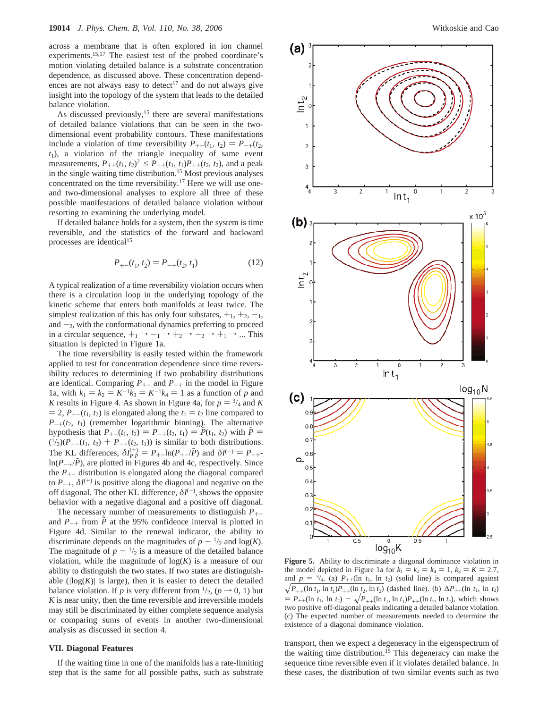across a membrane that is often explored in ion channel experiments.15,17 The easiest test of the probed coordinate's motion violating detailed balance is a substrate concentration dependence, as discussed above. These concentration dependences are not always easy to detect<sup>17</sup> and do not always give insight into the topology of the system that leads to the detailed balance violation.

As discussed previously,<sup>15</sup> there are several manifestations of detailed balance violations that can be seen in the twodimensional event probability contours. These manifestations include a violation of time reversibility  $P_{+-}(t_1, t_2) = P_{-+}(t_2, t_1)$ *t*1), a violation of the triangle inequality of same event measurements,  $P_{++}(t_1, t_2)^2 \leq P_{++}(t_1, t_1)P_{++}(t_2, t_2)$ , and a peak in the single waiting time distribution.15 Most previous analyses concentrated on the time reversibility.<sup>17</sup> Here we will use oneand two-dimensional analyses to explore all three of these possible manifestations of detailed balance violation without resorting to examining the underlying model.

If detailed balance holds for a system, then the system is time reversible, and the statistics of the forward and backward processes are identical15

$$
P_{+-}(t_1, t_2) = P_{-+}(t_2, t_1)
$$
 (12)

A typical realization of a time reversibility violation occurs when there is a circulation loop in the underlying topology of the kinetic scheme that enters both manifolds at least twice. The simplest realization of this has only four substates,  $+_1$ ,  $+_2$ ,  $-_1$ , and  $-z$ , with the conformational dynamics preferring to proceed in a circular sequence,  $+_1 \rightarrow -_1 \rightarrow +_2 \rightarrow -_2 \rightarrow +_1 \rightarrow ...$  This situation is depicted in Figure 1a.

The time reversibility is easily tested within the framework applied to test for concentration dependence since time reversibility reduces to determining if two probability distributions are identical. Comparing  $P_{+-}$  and  $P_{-+}$  in the model in Figure 1a, with  $k_1 = k_2 = K^{-1}k_3 = K^{-1}k_4 = 1$  as a function of *p* and *K* results in Figure 4. As shown in Figure 4a, for  $p = \frac{3}{4}$  and *K*  $= 2$ ,  $P_{+-}(t_1, t_2)$  is elongated along the  $t_1 = t_2$  line compared to  $P_{-+}(t_2, t_1)$  (remember logarithmic binning). The alternative hypothesis that  $P_{+-}(t_1, t_2) = P_{-+}(t_2, t_1) = \tilde{P}(t_1, t_2)$  with  $\tilde{P} =$  $\binom{1}{2}(P_{+-}(t_1, t_2) + P_{-+}(t_2, t_1))$  is similar to both distributions. The KL differences,  $\delta I_{\text{Pl}}^{(+)} = P_{+-} \ln(P_{+-}/\tilde{P})$  and  $\delta I^{(-)} = P_{-+} \ln(P_{-}/\tilde{P})$  are plotted in Figures 4b and 4c respectively. Since  $ln(P_{-+}/\tilde{P})$ , are plotted in Figures 4b and 4c, respectively. Since the  $P_{+-}$  distribution is elongated along the diagonal compared to  $P_{-+}$ ,  $\delta I^{(+)}$  is positive along the diagonal and negative on the off diagonal. The other KL difference, *δI*(-) , shows the opposite behavior with a negative diagonal and a positive off diagonal.

The necessary number of measurements to distinguish  $P_{+-}$ and  $P_{-+}$  from  $\tilde{P}$  at the 95% confidence interval is plotted in Figure 4d. Similar to the renewal indicator, the ability to discriminate depends on the magnitudes of  $p - \frac{1}{2}$  and  $log(K)$ . The magnitude of  $p - \frac{1}{2}$  is a measure of the detailed balance violation, while the magnitude of  $log(K)$  is a measure of our ability to distinguish the two states. If two states are distinguishable  $(|log(K)|$  is large), then it is easier to detect the detailed balance violation. If *p* is very different from  $\frac{1}{2}$ , (*p*  $\rightarrow$  0, 1) but *K* is near unity, then the time reversible and irreversible models may still be discriminated by either complete sequence analysis or comparing sums of events in another two-dimensional analysis as discussed in section 4.

#### **VII. Diagonal Features**

If the waiting time in one of the manifolds has a rate-limiting step that is the same for all possible paths, such as substrate



**Figure 5.** Ability to discriminate a diagonal dominance violation in the model depicted in Figure 1a for  $k_1 = k_2 = k_4 = 1$ ,  $k_3 = K = 2.7$ , and  $p = \frac{3}{4}$ . (a)  $P_{++}(\ln t_1, \ln t_2)$  (solid line) is compared against  $\sqrt{P_{++}(\ln t_1, \ln t_1)P_{++}(\ln t_2, \ln t_2)}$  (dashed line). (b)  $\Delta P_{++}(\ln t_1, \ln t_2)$  $= P_{++}(\ln t_1, \ln t_2) - \sqrt{P_{++}(\ln t_1, \ln t_1)P_{++}(\ln t_2, \ln t_2)}$ , which shows two positive off-diagonal peaks indicating a detailed balance violation. (c) The expected number of measurements needed to determine the existence of a diagonal dominance violation.

transport, then we expect a degeneracy in the eigenspectrum of the waiting time distribution.<sup>15</sup> This degeneracy can make the sequence time reversible even if it violates detailed balance. In these cases, the distribution of two similar events such as two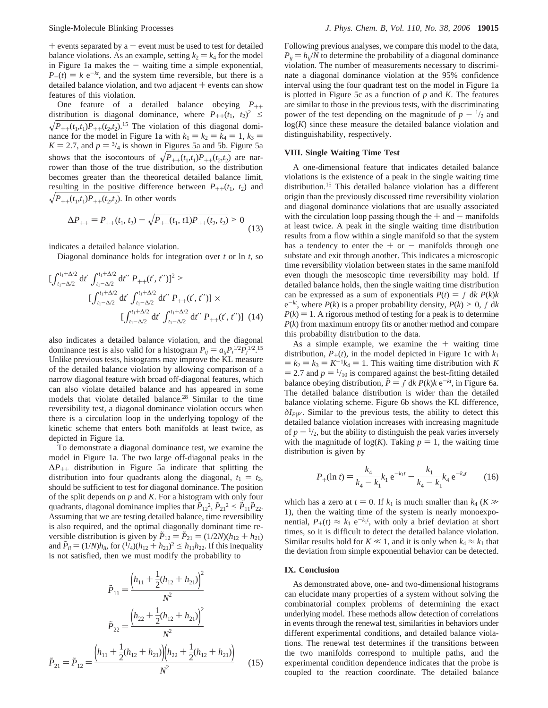$+$  events separated by a  $-$  event must be used to test for detailed balance violations. As an example, setting  $k_2 = k_4$  for the model in Figure 1a makes the  $-$  waiting time a simple exponential,  $P_-(t) = k e^{-kt}$ , and the system time reversible, but there is a detailed balance violation, and two adjacent  $+$  events can show features of this violation.

One feature of a detailed balance obeying  $P_{++}$ distribution is diagonal dominance, where  $P_{++}(t_1, t_2)^2 \leq$  $\sqrt{P_{++}(t_1,t_1)P_{++}(t_2,t_2)}$ .<sup>15</sup> The violation of this diagonal dominance for the model in Figure 1a with  $k_1 = k_2 = k_4 = 1$ ,  $k_3 =$  $K = 2.7$ , and  $p = \frac{3}{4}$  is shown in Figures 5a and 5b. Figure 5a shows that the isocontours of  $\sqrt{P_{++}(t_1,t_1)P_{++}(t_2,t_2)}$  are narrower than those of the true distribution, so the distribution becomes greater than the theoretical detailed balance limit, resulting in the positive difference between  $P_{++}(t_1, t_2)$  and  $\sqrt{P_{++}(t_1,t_1)P_{++}(t_2,t_2)}$ . In other words

$$
\Delta P_{++} = P_{++}(t_1, t_2) - \sqrt{P_{++}(t_1, t_1)P_{++}(t_2, t_2)} > 0
$$
\n(13)

indicates a detailed balance violation.

Diagonal dominance holds for integration over *t* or ln *t*, so

$$
\left[\int_{t_1-\Delta/2}^{t_1+\Delta/2} dt' \int_{t_1-\Delta/2}^{t_1+\Delta/2} dt'' P_{++}(t',t'')\right]^2 >
$$
\n
$$
\left[\int_{t_1-\Delta/2}^{t_1+\Delta/2} dt' \int_{t_1-\Delta/2}^{t_1+\Delta/2} dt'' P_{++}(t',t'')\right] \times
$$
\n
$$
\left[\int_{t_1-\Delta/2}^{t_1+\Delta/2} dt' \int_{t_1-\Delta/2}^{t_1+\Delta/2} dt'' P_{++}(t',t'')\right] (14)
$$

also indicates a detailed balance violation, and the diagonal dominance test is also valid for a histogram  $P_{ij} = a_{ij} P_i^{1/2} P_j^{1/2}$ .<sup>15</sup><br>Unlike previous tests, histograms may improve the KL measure Unlike previous tests, histograms may improve the KL measure of the detailed balance violation by allowing comparison of a narrow diagonal feature with broad off-diagonal features, which can also violate detailed balance and has appeared in some models that violate detailed balance.28 Similar to the time reversibility test, a diagonal dominance violation occurs when there is a circulation loop in the underlying topology of the kinetic scheme that enters both manifolds at least twice, as depicted in Figure 1a.

To demonstrate a diagonal dominance test, we examine the model in Figure 1a. The two large off-diagonal peaks in the <sup>∆</sup>*P*++ distribution in Figure 5a indicate that splitting the distribution into four quadrants along the diagonal,  $t_1 = t_2$ , should be sufficient to test for diagonal dominance. The position of the split depends on *p* and *K*. For a histogram with only four quadrants, diagonal dominance implies that  $\tilde{P}_{12}^2$ ,  $\tilde{P}_{21}^2 \leq \tilde{P}_{11} \tilde{P}_{22}$ . Assuming that we are testing detailed balance, time reversibility is also required, and the optimal diagonally dominant time reversible distribution is given by  $\tilde{P}_{12} = \tilde{P}_{21} = (1/2N)(h_{12} + h_{21})$ and  $\tilde{P}_{ii} = (1/N)h_{ii}$ , for  $({}^{1}/_{4})(h_{12} + h_{21})^2 \leq h_{11}h_{22}$ . If this inequality is not satisfied, then we must modify the probability to

$$
\tilde{P}_{11} = \frac{\left(h_{11} + \frac{1}{2}(h_{12} + h_{21})\right)^2}{N^2}
$$
\n
$$
\tilde{P}_{22} = \frac{\left(h_{22} + \frac{1}{2}(h_{12} + h_{21})\right)^2}{N^2}
$$
\n
$$
\tilde{P}_{21} = \tilde{P}_{12} = \frac{\left(h_{11} + \frac{1}{2}(h_{12} + h_{21})\right)\left(h_{22} + \frac{1}{2}(h_{12} + h_{21})\right)}{N^2} \tag{15}
$$

Following previous analyses, we compare this model to the data,  $P_{ii} = h_{ii}/N$  to determine the probability of a diagonal dominance violation. The number of measurements necessary to discriminate a diagonal dominance violation at the 95% confidence interval using the four quadrant test on the model in Figure 1a is plotted in Figure 5c as a function of *p* and *K*. The features are similar to those in the previous tests, with the discriminating power of the test depending on the magnitude of  $p - \frac{1}{2}$  and  $log(K)$  since these measure the detailed balance violation and distinguishability, respectively.

#### **VIII. Single Waiting Time Test**

A one-dimensional feature that indicates detailed balance violations is the existence of a peak in the single waiting time distribution.15 This detailed balance violation has a different origin than the previously discussed time reversibility violation and diagonal dominance violations that are usually associated with the circulation loop passing though the  $+$  and  $-$  manifolds at least twice. A peak in the single waiting time distribution results from a flow within a single manifold so that the system has a tendency to enter the  $+$  or  $-$  manifolds through one substate and exit through another. This indicates a microscopic time reversibility violation between states in the same manifold even though the mesoscopic time reversibility may hold. If detailed balance holds, then the single waiting time distribution can be expressed as a sum of exponentials  $P(t) = \int dk P(k)k$  $e^{-kt}$ , where  $P(k)$  is a proper probability density,  $P(k) \geq 0$ ,  $\int dk$  $P(k) = 1$ . A rigorous method of testing for a peak is to determine *P*(*k*) from maximum entropy fits or another method and compare this probability distribution to the data.

As a simple example, we examine the  $+$  waiting time distribution,  $P_+(t)$ , in the model depicted in Figure 1c with  $k_1$  $k_2 = k_3 = K^{-1}k_4 = 1$ . This waiting time distribution with *K*  $=$  2.7 and  $p = \frac{1}{10}$  is compared against the best-fitting detailed balance obeying distribution,  $\tilde{P} = \int dk P(k)k e^{-kt}$ , in Figure 6a. The detailed balance distribution is wider than the detailed balance violating scheme. Figure 6b shows the KL difference,  $\delta I_{P|P'}$ . Similar to the previous tests, the ability to detect this detailed balance violation increases with increasing magnitude of  $p - \frac{1}{2}$ , but the ability to distinguish the peak varies inversely with the magnitude of  $log(K)$ . Taking  $p = 1$ , the waiting time distribution is given by

$$
P_{+}(\ln t) = \frac{k_4}{k_4 - k_1} k_1 e^{-k_1 t} - \frac{k_1}{k_4 - k_1} k_4 e^{-k_4 t}
$$
 (16)

which has a zero at  $t = 0$ . If  $k_1$  is much smaller than  $k_4$  ( $K \gg$ 1), then the waiting time of the system is nearly monoexponential,  $P_+(t) \approx k_1 e^{-k_1 t}$ , with only a brief deviation at short<br>times so it is difficult to detact the detailed belonge violation times, so it is difficult to detect the detailed balance violation. Similar results hold for  $K \ll 1$ , and it is only when  $k_4 \approx k_1$  that the deviation from simple exponential behavior can be detected.

### **IX. Conclusion**

As demonstrated above, one- and two-dimensional histograms can elucidate many properties of a system without solving the combinatorial complex problems of determining the exact underlying model. These methods allow detection of correlations in events through the renewal test, similarities in behaviors under different experimental conditions, and detailed balance violations. The renewal test determines if the transitions between the two manifolds correspond to multiple paths, and the experimental condition dependence indicates that the probe is coupled to the reaction coordinate. The detailed balance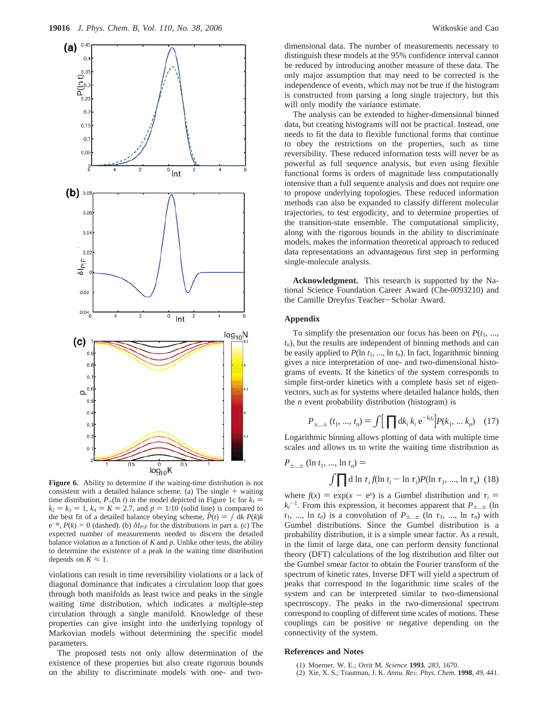

**Figure 6.** Ability to determine if the waiting-time distribution is not consistent with a detailed balance scheme. (a) The single  $+$  waiting time distribution,  $P_+(\ln t)$  in the model depicted in Figure 1c for  $k_1 =$  $k_2 = k_3 = 1$ ,  $k_4 = K = 2.7$ , and  $p = 1/10$  (solid line) is compared to the best fit of a detailed balance obeying scheme,  $\tilde{P}(t) = \int dk P(k)k$  $e^{-kt}$ ,  $P(k) > 0$  (dashed). (b)  $\delta I_{P|\tilde{P}}$  for the distributions in part a. (c) The expected number of measurements needed to discern the detailed balance violation as a function of  $K$  and  $p$ . Unlike other tests, the ability to determine the existence of a peak in the waiting time distribution depends on  $K \approx 1$ .

violations can result in time reversibility violations or a lack of diagonal dominance that indicates a circulation loop that goes through both manifolds as least twice and peaks in the single waiting time distribution, which indicates a multiple-step circulation through a single manifold. Knowledge of these properties can give insight into the underlying topology of Markovian models without determining the specific model parameters.

The proposed tests not only allow determination of the existence of these properties but also create rigorous bounds on the ability to discriminate models with one- and two-

dimensional data. The number of measurements necessary to distinguish these models at the 95% confidence interval cannot be reduced by introducing another measure of these data. The only major assumption that may need to be corrected is the independence of events, which may not be true if the histogram is constructed from parsing a long single trajectory, but this will only modify the variance estimate.

The analysis can be extended to higher-dimensional binned data, but creating histograms will not be practical. Instead, one needs to fit the data to flexible functional forms that continue to obey the restrictions on the properties, such as time reversibility. These reduced information tests will never be as powerful as full sequence analysis, but even using flexible functional forms is orders of magnitude less computationally intensive than a full sequence analysis and does not require one to propose underlying topologies. These reduced information methods can also be expanded to classify different molecular trajectories, to test ergodicity, and to determine properties of the transition-state ensemble. The computational simplicity, along with the rigorous bounds in the ability to discriminate models, makes the information theoretical approach to reduced data representations an advantageous first step in performing single-molecule analysis.

**Acknowledgment.** This research is supported by the National Science Foundation Career Award (Che-0093210) and the Camille Dreyfus Teacher-Scholar Award.

## **Appendix**

To simplify the presentation our focus has been on  $P(t_1, \ldots,$ *tn*), but the results are independent of binning methods and can be easily applied to  $P(\ln t_1, ..., \ln t_n)$ . In fact, logarithmic binning gives a nice interpretation of one- and two-dimensional histograms of events. If the kinetics of the system corresponds to simple first-order kinetics with a complete basis set of eigenvectors, such as for systems where detailed balance holds, then the *n* event probability distribution (histogram) is

$$
P_{\pm\ldots\pm}(t_1, ..., t_n) = \int \left[ \prod dk_i \, k_i \, e^{-k_i t_i} \right] P(k_1, ..., k_n) \tag{17}
$$

Logarithmic binning allows plotting of data with multiple time scales and allows us to write the waiting time distribution as

$$
P_{\pm\ldots\pm} (\ln t_1, \ldots, \ln t_n) =
$$
  

$$
\int \prod \mathrm{d} \ln \tau_i f(\ln t_i - \ln \tau_i) P(\ln \tau_1, \ldots, \ln \tau_n) (18)
$$

where  $f(x) = \exp(x - e^x)$  is a Gumbel distribution and  $\tau_i = k^{-1}$ . From this expression it becomes apparent that  $P_{i+1}$  (In  $k_i^{-1}$ . From this expression, it becomes apparent that  $P_{\pm\dots\pm}$  (ln  $\zeta$ ) with *t*<sub>1</sub>, ..., ln *t<sub>n</sub>*) is a convolution of  $P_{\pm\dots\pm}$  (ln  $\tau_1$ , ..., ln  $\tau_n$ ) with Gumbel distributions. Since the Gumbel distribution is a probability distribution, it is a simple smear factor. As a result, in the limit of large data, one can perform density functional theory (DFT) calculations of the log distribution and filter out the Gumbel smear factor to obtain the Fourier transform of the spectrum of kinetic rates. Inverse DFT will yield a spectrum of peaks that correspond to the logarithmic time scales of the system and can be interpreted similar to two-dimensional spectroscopy. The peaks in the two-dimensional spectrum correspond to coupling of different time scales of motions. These couplings can be positive or negative depending on the connectivity of the system.

#### **References and Notes**

- (1) Moerner, W. E.; Orrit M. *Science* **1993**, *283*, 1670.
- (2) Xie, X. S.; Trautman, J. K. *Annu. Re*V*. Phys. Chem.* **<sup>1998</sup>**, *<sup>49</sup>*, 441.